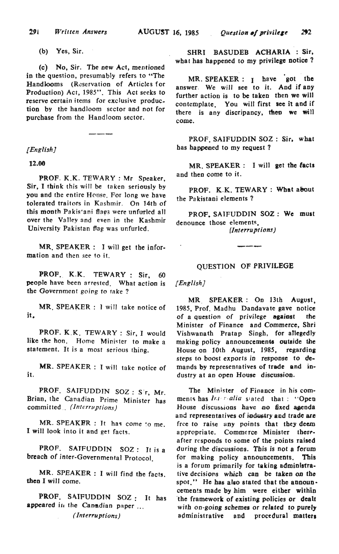(b) Yes, Sir.

(c) No, Sir. The new Act, mentioned in the question, presumably refers to "The Handlooms (Reservation of Articles for Production) Act, 1985". This Act seeks to reserve certain items for exclusive production by the handJoom sector and not for purchase from the Handloom sector.

*[English)* 

12.00

PROF. K.K. TEWARY : Mr Speaker, Sir, I think this will be taken seriously by you and tbe entire Honse. For long we have tolerated traitors in Kashmir. On 14th of this month Pakis'ani flags were unfurled all over the Valley and even in the Kashmir University Pakistan flag was unfurled.

MR. SPEAKER : I will get the information and then see to it.

PROF. K.K. TEWARY: Sir, 60 people have been arrested. What action is the Government going to take?

MR. SPEAKER: 1 will take notice of it.

PROF. K.K. TEWARY: Sir, I would like the hon. Home Minister to make a statement. It is a most serious thing.

MR. SPEAKER: I will take notice of it.

PROF. SAIFUDDIN SOZ: Sir, Mr. Brian, the Canadian Prime Minister has committed '. *(Interruptions)* 

MR. SPEAKER : It has come to me. I will look into it and get facts.

PROF. SAJFUDDIN SOZ: It is a breach of inter-Governmental Protocol.

MR. SPEAKER: I will find the facts. then I will come.

PROF. SAIFUDDIN SOZ: It has appeared in the Canadian paper ... *( Interruptions)* 

SHRI BASUDEB ACHARIA : Sir, what has happened to my privilege notice?

MR. SPEAKER: I have got the answer. We will see to it. And if any further action is to be taken then we will contemplate. You will first see it and if there is any discripancy, then we will come.

PROF. SAIFUDDIN SOZ : Sir, what has happened to my reQuest?

MR. SPEAKER : I will get the facts and then come to it.

PROF. K.K. TEWARY : What about the Pa kistani elements?

PROF. SAIFUDDIN SOZ: We must denounce those elements.  $(Interruptions)$ 

## QUESTION OF PRIVILEGE

*[English]* 

MR. SPEAKER: On 13th August, 1985, Prof. Madhu Dandavate gave notice of a question of privilege against the Minister of Finance and Commerce, Shri Vishwanath Pratap Singh, for atlegedJy making policy announcements outside the House on 10th August, 1985, regarding steps to boost exports in response to demands by representatives of trade and industry at an open House discussion.

The Minister of Finance in his comments has *Inter-alia* stated that: "Open House discussions have no fixed agenda and representatives of industry and trade are free to raise uny points that tbey deem appropriate. Commerce Minister there. after responds to some of the points raised during the discussions. This is not a forum for making policy announcements. This is a forum primarily for taking administrative decisions which can be taken on tho spot." He has also stated that the announcements made by him were either within the framework of existing policies or dealt with on-going schemes or related to purely administrative and procedural matters